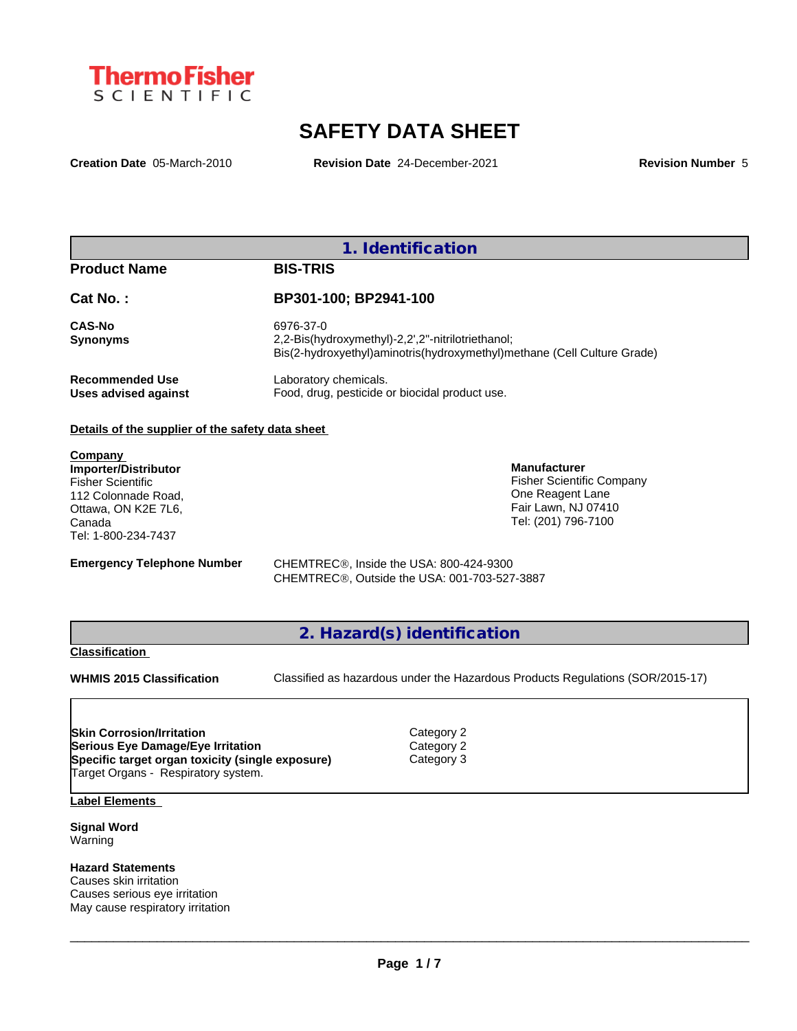

# **SAFETY DATA SHEET**

**Creation Date** 05-March-2010 **Revision Date** 24-December-2021 **Revision Number** 5

**1. Identification**

### **Product Name BIS-TRIS**

**Cat No. : BP301-100; BP2941-100**

**Recommended Use** Laboratory chemicals.<br> **Uses advised against** Food, drug, pesticide of

**CAS-No** 6976-37-0 **Synonyms** 2,2-Bis(hydroxymethyl)-2,2',2''-nitrilotriethanol; Bis(2-hydroxyethyl)aminotris(hydroxymethyl)methane (Cell Culture Grade) Food, drug, pesticide or biocidal product use.

#### **Details of the supplier of the safety data sheet**

**Company Importer/Distributor** Fisher Scientific 112 Colonnade Road, Ottawa, ON K2E 7L6, Canada Tel: 1-800-234-7437

**Emergency Telephone Number** CHEMTREC<sup>®</sup>, Inside the USA: 800-424-9300 CHEMTREC®, Outside the USA: 001-703-527-3887

**2. Hazard(s) identification**

#### **Classification**

**WHMIS 2015 Classification** Classified as hazardous under the Hazardous Products Regulations (SOR/2015-17)

 $\_$  ,  $\_$  ,  $\_$  ,  $\_$  ,  $\_$  ,  $\_$  ,  $\_$  ,  $\_$  ,  $\_$  ,  $\_$  ,  $\_$  ,  $\_$  ,  $\_$  ,  $\_$  ,  $\_$  ,  $\_$  ,  $\_$  ,  $\_$  ,  $\_$  ,  $\_$  ,  $\_$  ,  $\_$  ,  $\_$  ,  $\_$  ,  $\_$  ,  $\_$  ,  $\_$  ,  $\_$  ,  $\_$  ,  $\_$  ,  $\_$  ,  $\_$  ,  $\_$  ,  $\_$  ,  $\_$  ,  $\_$  ,  $\_$  ,

**Manufacturer**

Fisher Scientific Company One Reagent Lane Fair Lawn, NJ 07410 Tel: (201) 796-7100

**Skin Corrosion/Irritation**<br> **Serious Eye Damage/Eye Irritation**<br>
Category 2 **Serious Eye Damage/Eye Irritation Specific target organ toxicity (single exposure) Category 3** Target Organs - Respiratory system.

**Label Elements**

**Signal Word** Warning

**Hazard Statements** Causes skin irritation Causes serious eye irritation May cause respiratory irritation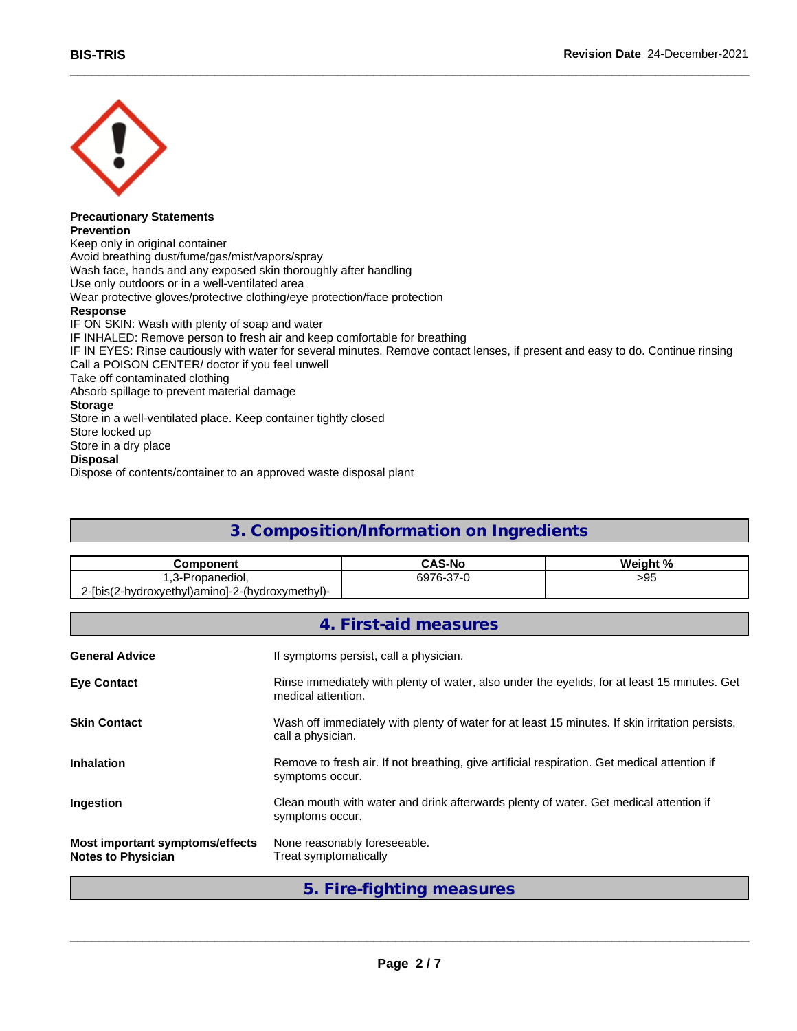

#### **Precautionary Statements Prevention**

Keep only in original container Avoid breathing dust/fume/gas/mist/vapors/spray Wash face, hands and any exposed skin thoroughly after handling Use only outdoors or in a well-ventilated area Wear protective gloves/protective clothing/eye protection/face protection **Response** IF ON SKIN: Wash with plenty of soap and water IF INHALED: Remove person to fresh air and keep comfortable for breathing IF IN EYES: Rinse cautiously with water for several minutes. Remove contact lenses, if present and easy to do. Continue rinsing Call a POISON CENTER/ doctor if you feel unwell Take off contaminated clothing Absorb spillage to prevent material damage **Storage** Store in a well-ventilated place. Keep container tightly closed Store locked up Store in a dry place **Disposal**

Dispose of contents/container to an approved waste disposal plant

### **3. Composition/Information on Ingredients**

| <b>Component</b>                                      | <b>CAS-N</b>     | <b>Wainhy</b><br>* 01 |
|-------------------------------------------------------|------------------|-----------------------|
| nanediol.<br>n<br>w                                   | $\sim$<br>6976-3 | $\mathbf{u}$<br>>ອວ   |
| (2-hydroxyethyl)amino]-2-(hydroxymethyl)-<br>?-[bis(2 |                  |                       |

|                                                              | 4. First-aid measures                                                                                                |
|--------------------------------------------------------------|----------------------------------------------------------------------------------------------------------------------|
| <b>General Advice</b>                                        | If symptoms persist, call a physician.                                                                               |
| <b>Eye Contact</b>                                           | Rinse immediately with plenty of water, also under the eyelids, for at least 15 minutes. Get<br>medical attention.   |
| <b>Skin Contact</b>                                          | Wash off immediately with plenty of water for at least 15 minutes. If skin irritation persists,<br>call a physician. |
| <b>Inhalation</b>                                            | Remove to fresh air. If not breathing, give artificial respiration. Get medical attention if<br>symptoms occur.      |
| Ingestion                                                    | Clean mouth with water and drink afterwards plenty of water. Get medical attention if<br>symptoms occur.             |
| Most important symptoms/effects<br><b>Notes to Physician</b> | None reasonably foreseeable.<br>Treat symptomatically                                                                |

**5. Fire-fighting measures**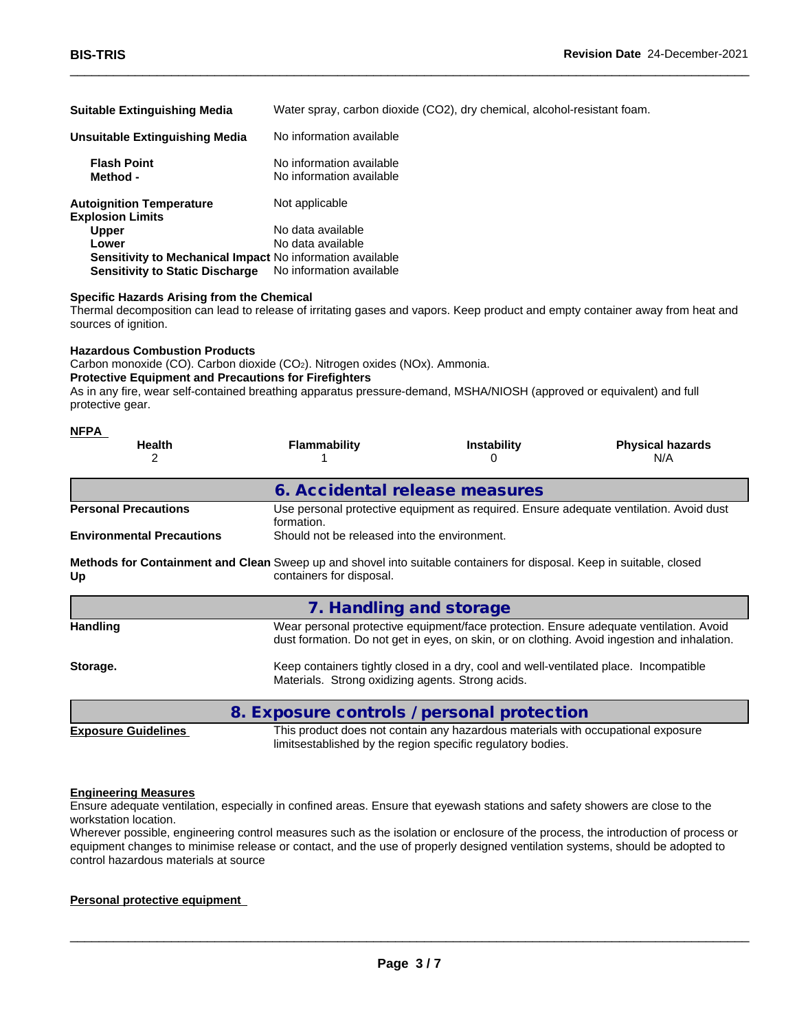| <b>Suitable Extinguishing Media</b>                        | Water spray, carbon dioxide (CO2), dry chemical, alcohol-resistant foam. |
|------------------------------------------------------------|--------------------------------------------------------------------------|
| Unsuitable Extinguishing Media                             | No information available                                                 |
| <b>Flash Point</b><br>Method -                             | No information available<br>No information available                     |
| <b>Autoignition Temperature</b><br><b>Explosion Limits</b> | Not applicable                                                           |
| <b>Upper</b>                                               | No data available                                                        |
| Lower                                                      | No data available                                                        |
| Sensitivity to Mechanical Impact No information available  |                                                                          |
| <b>Sensitivity to Static Discharge</b>                     | No information available                                                 |

#### **Specific Hazards Arising from the Chemical**

Thermal decomposition can lead to release of irritating gases and vapors. Keep product and empty container away from heat and sources of ignition.

#### **Hazardous Combustion Products**

Carbon monoxide (CO). Carbon dioxide (CO<sub>2</sub>). Nitrogen oxides (NO<sub>x</sub>). Ammonia.

#### **Protective Equipment and Precautions for Firefighters**

As in any fire, wear self-contained breathing apparatus pressure-demand, MSHA/NIOSH (approved or equivalent) and full protective gear.

| NFPA<br><b>Health</b>                                                                                                       | <b>Flammability</b>                          | <b>Instability</b> | <b>Physical hazards</b><br>N/A                                                         |
|-----------------------------------------------------------------------------------------------------------------------------|----------------------------------------------|--------------------|----------------------------------------------------------------------------------------|
|                                                                                                                             | 6. Accidental release measures               |                    |                                                                                        |
| <b>Personal Precautions</b>                                                                                                 | formation.                                   |                    | Use personal protective equipment as required. Ensure adequate ventilation. Avoid dust |
| <b>Environmental Precautions</b>                                                                                            | Should not be released into the environment. |                    |                                                                                        |
| Methods for Containment and Clean Sweep up and shovel into suitable containers for disposal. Keep in suitable, closed<br>Up | containers for disposal.                     |                    |                                                                                        |

|                 | 7. Handling and storage                                                                                                                                                                |
|-----------------|----------------------------------------------------------------------------------------------------------------------------------------------------------------------------------------|
| <b>Handling</b> | Wear personal protective equipment/face protection. Ensure adequate ventilation. Avoid<br>dust formation. Do not get in eyes, on skin, or on clothing. Avoid ingestion and inhalation. |
| Storage.        | Keep containers tightly closed in a dry, cool and well-ventilated place. Incompatible<br>Materials. Strong oxidizing agents. Strong acids.                                             |
|                 | 8. Exposure controls / personal protection                                                                                                                                             |

**Exposure Guidelines** This product does not contain any hazardous materials with occupational exposure limitsestablished by the region specific regulatory bodies.

 $\_$  ,  $\_$  ,  $\_$  ,  $\_$  ,  $\_$  ,  $\_$  ,  $\_$  ,  $\_$  ,  $\_$  ,  $\_$  ,  $\_$  ,  $\_$  ,  $\_$  ,  $\_$  ,  $\_$  ,  $\_$  ,  $\_$  ,  $\_$  ,  $\_$  ,  $\_$  ,  $\_$  ,  $\_$  ,  $\_$  ,  $\_$  ,  $\_$  ,  $\_$  ,  $\_$  ,  $\_$  ,  $\_$  ,  $\_$  ,  $\_$  ,  $\_$  ,  $\_$  ,  $\_$  ,  $\_$  ,  $\_$  ,  $\_$  ,

#### **Engineering Measures**

Ensure adequate ventilation, especially in confined areas. Ensure that eyewash stations and safety showers are close to the workstation location.

Wherever possible, engineering control measures such as the isolation or enclosure of the process, the introduction of process or equipment changes to minimise release or contact, and the use of properly designed ventilation systems, should be adopted to control hazardous materials at source

#### **Personal protective equipment**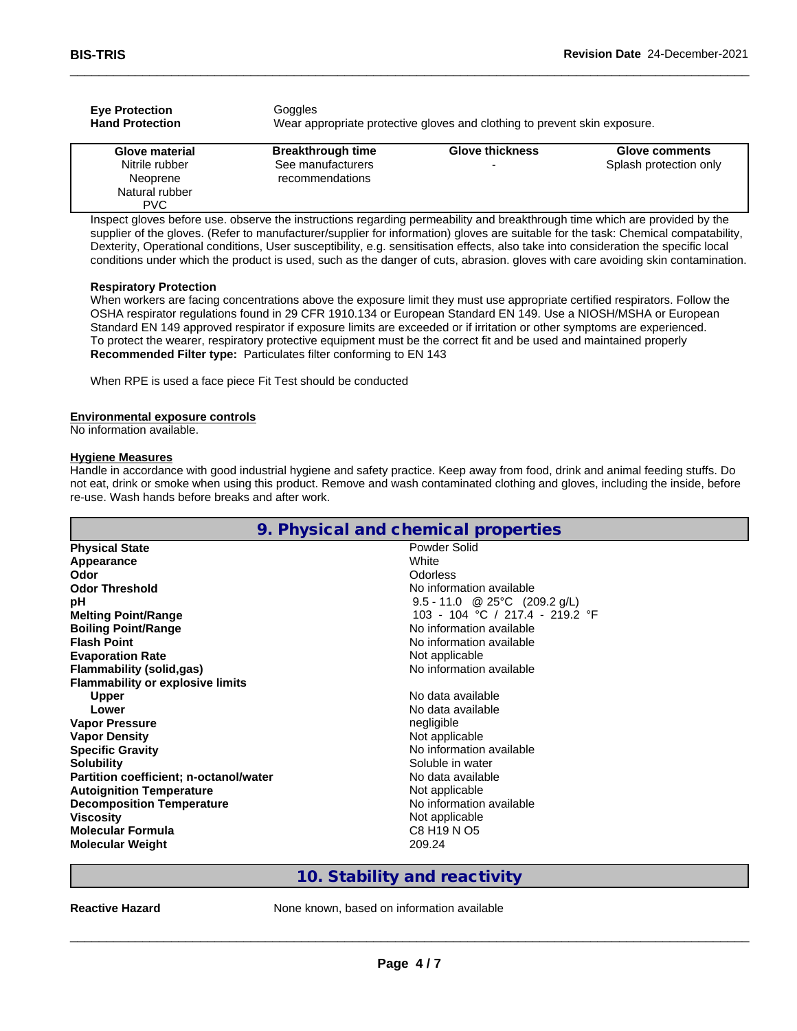| <b>Eye Protection</b><br><b>Hand Protection</b> | <b>Goggles</b>                       | Wear appropriate protective gloves and clothing to prevent skin exposure. |                        |
|-------------------------------------------------|--------------------------------------|---------------------------------------------------------------------------|------------------------|
| Glove material                                  | <b>Breakthrough time</b>             | <b>Glove thickness</b>                                                    | <b>Glove comments</b>  |
| Nitrile rubber<br>Neoprene                      | See manufacturers<br>recommendations | -                                                                         | Splash protection only |
| Natural rubber<br><b>PVC</b>                    |                                      |                                                                           |                        |

Inspect gloves before use. observe the instructions regarding permeability and breakthrough time which are provided by the supplier of the gloves. (Refer to manufacturer/supplier for information) gloves are suitable for the task: Chemical compatability, Dexterity, Operational conditions, User susceptibility, e.g. sensitisation effects, also take into consideration the specific local conditions under which the product is used, such as the danger of cuts, abrasion. gloves with care avoiding skin contamination.

#### **Respiratory Protection**

When workers are facing concentrations above the exposure limit they must use appropriate certified respirators. Follow the OSHA respirator regulations found in 29 CFR 1910.134 or European Standard EN 149. Use a NIOSH/MSHA or European Standard EN 149 approved respirator if exposure limits are exceeded or if irritation or other symptoms are experienced. To protect the wearer, respiratory protective equipment must be the correct fit and be used and maintained properly **Recommended Filter type:** Particulates filter conforming to EN 143

When RPE is used a face piece Fit Test should be conducted

#### **Environmental exposure controls**

No information available.

#### **Hygiene Measures**

Handle in accordance with good industrial hygiene and safety practice. Keep away from food, drink and animal feeding stuffs. Do not eat, drink or smoke when using this product. Remove and wash contaminated clothing and gloves, including the inside, before re-use. Wash hands before breaks and after work.

|                                         | 9. Physical and chemical properties |
|-----------------------------------------|-------------------------------------|
| <b>Physical State</b>                   | Powder Solid                        |
| Appearance                              | White                               |
| Odor                                    | Odorless                            |
| <b>Odor Threshold</b>                   | No information available            |
| рH                                      | 9.5 - 11.0 @ 25°C (209.2 g/L)       |
| <b>Melting Point/Range</b>              | 103 - 104 °C / 217.4 - 219.2 °F     |
| <b>Boiling Point/Range</b>              | No information available            |
| <b>Flash Point</b>                      | No information available            |
| <b>Evaporation Rate</b>                 | Not applicable                      |
| Flammability (solid,gas)                | No information available            |
| <b>Flammability or explosive limits</b> |                                     |
| <b>Upper</b>                            | No data available                   |
| Lower                                   | No data available                   |
| <b>Vapor Pressure</b>                   | negligible                          |
| <b>Vapor Density</b>                    | Not applicable                      |
| <b>Specific Gravity</b>                 | No information available            |
| <b>Solubility</b>                       | Soluble in water                    |
| Partition coefficient; n-octanol/water  | No data available                   |
| <b>Autoignition Temperature</b>         | Not applicable                      |
| <b>Decomposition Temperature</b>        | No information available            |
| <b>Viscosity</b>                        | Not applicable                      |
| <b>Molecular Formula</b>                | C8 H19 N O5                         |
| <b>Molecular Weight</b>                 | 209.24                              |

### **10. Stability and reactivity**

**Reactive Hazard None known, based on information available**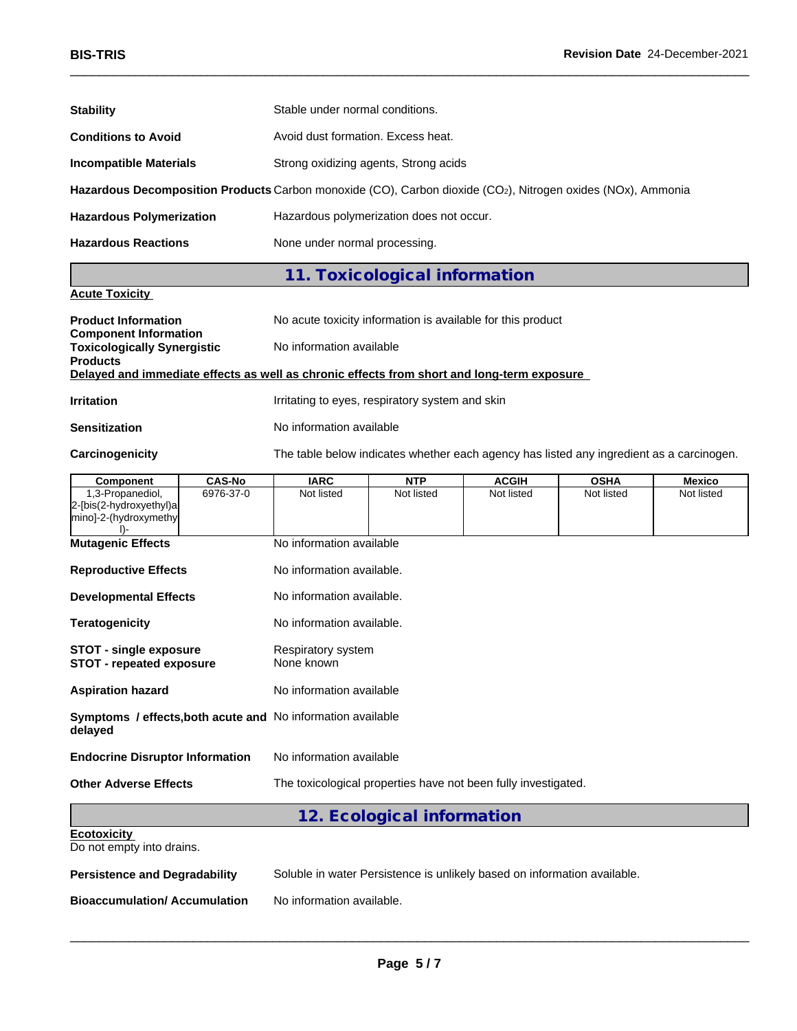| <b>BIS-TRIS</b>                                                                                               |               |                                                                                          |                                                 |              | <b>Revision Date 24-December-2021</b> |            |  |  |  |  |  |
|---------------------------------------------------------------------------------------------------------------|---------------|------------------------------------------------------------------------------------------|-------------------------------------------------|--------------|---------------------------------------|------------|--|--|--|--|--|
| <b>Stability</b>                                                                                              |               | Stable under normal conditions.                                                          |                                                 |              |                                       |            |  |  |  |  |  |
| <b>Conditions to Avoid</b>                                                                                    |               | Avoid dust formation. Excess heat.                                                       |                                                 |              |                                       |            |  |  |  |  |  |
| <b>Incompatible Materials</b>                                                                                 |               |                                                                                          | Strong oxidizing agents, Strong acids           |              |                                       |            |  |  |  |  |  |
| Hazardous Decomposition Products Carbon monoxide (CO), Carbon dioxide (CO2), Nitrogen oxides (NOx), Ammonia   |               |                                                                                          |                                                 |              |                                       |            |  |  |  |  |  |
| <b>Hazardous Polymerization</b>                                                                               |               | Hazardous polymerization does not occur.                                                 |                                                 |              |                                       |            |  |  |  |  |  |
| <b>Hazardous Reactions</b>                                                                                    |               | None under normal processing.                                                            |                                                 |              |                                       |            |  |  |  |  |  |
|                                                                                                               |               |                                                                                          | 11. Toxicological information                   |              |                                       |            |  |  |  |  |  |
| <b>Acute Toxicity</b>                                                                                         |               |                                                                                          |                                                 |              |                                       |            |  |  |  |  |  |
| <b>Product Information</b><br><b>Component Information</b>                                                    |               | No acute toxicity information is available for this product                              |                                                 |              |                                       |            |  |  |  |  |  |
| <b>Toxicologically Synergistic</b>                                                                            |               | No information available                                                                 |                                                 |              |                                       |            |  |  |  |  |  |
| <b>Products</b><br>Delayed and immediate effects as well as chronic effects from short and long-term exposure |               |                                                                                          |                                                 |              |                                       |            |  |  |  |  |  |
| <b>Irritation</b>                                                                                             |               |                                                                                          | Irritating to eyes, respiratory system and skin |              |                                       |            |  |  |  |  |  |
| <b>Sensitization</b>                                                                                          |               |                                                                                          | No information available                        |              |                                       |            |  |  |  |  |  |
| Carcinogenicity                                                                                               |               | The table below indicates whether each agency has listed any ingredient as a carcinogen. |                                                 |              |                                       |            |  |  |  |  |  |
| <b>Component</b>                                                                                              | <b>CAS-No</b> | <b>IARC</b>                                                                              | <b>NTP</b>                                      | <b>ACGIH</b> | <b>OSHA</b>                           | Mexico     |  |  |  |  |  |
| 1,3-Propanediol,<br>2-[bis(2-hydroxyethyl)a<br>mino]-2-(hydroxymethy<br>D-                                    | 6976-37-0     | Not listed                                                                               | Not listed                                      | Not listed   | Not listed                            | Not listed |  |  |  |  |  |
| <b>Mutagenic Effects</b>                                                                                      |               | No information available                                                                 |                                                 |              |                                       |            |  |  |  |  |  |
| <b>Reproductive Effects</b>                                                                                   |               | No information available.                                                                |                                                 |              |                                       |            |  |  |  |  |  |
| <b>Developmental Effects</b>                                                                                  |               | No information available.                                                                |                                                 |              |                                       |            |  |  |  |  |  |
| <b>Teratogenicity</b>                                                                                         |               | No information available.                                                                |                                                 |              |                                       |            |  |  |  |  |  |
| <b>STOT - single exposure</b><br>STOT - repeated exposure                                                     |               | Respiratory system<br>None known                                                         |                                                 |              |                                       |            |  |  |  |  |  |
| <b>Aspiration hazard</b>                                                                                      |               | No information available                                                                 |                                                 |              |                                       |            |  |  |  |  |  |
| Symptoms / effects, both acute and No information available<br>delayed                                        |               |                                                                                          |                                                 |              |                                       |            |  |  |  |  |  |
| <b>Endocrine Disruptor Information</b>                                                                        |               | No information available                                                                 |                                                 |              |                                       |            |  |  |  |  |  |
| <b>Other Adverse Effects</b>                                                                                  |               | The toxicological properties have not been fully investigated.                           |                                                 |              |                                       |            |  |  |  |  |  |
|                                                                                                               |               |                                                                                          |                                                 |              |                                       |            |  |  |  |  |  |

Do not empty into drains.

**Persistence and Degradability** Soluble in water Persistence is unlikely based on information available.

**Bioaccumulation/ Accumulation** No information available.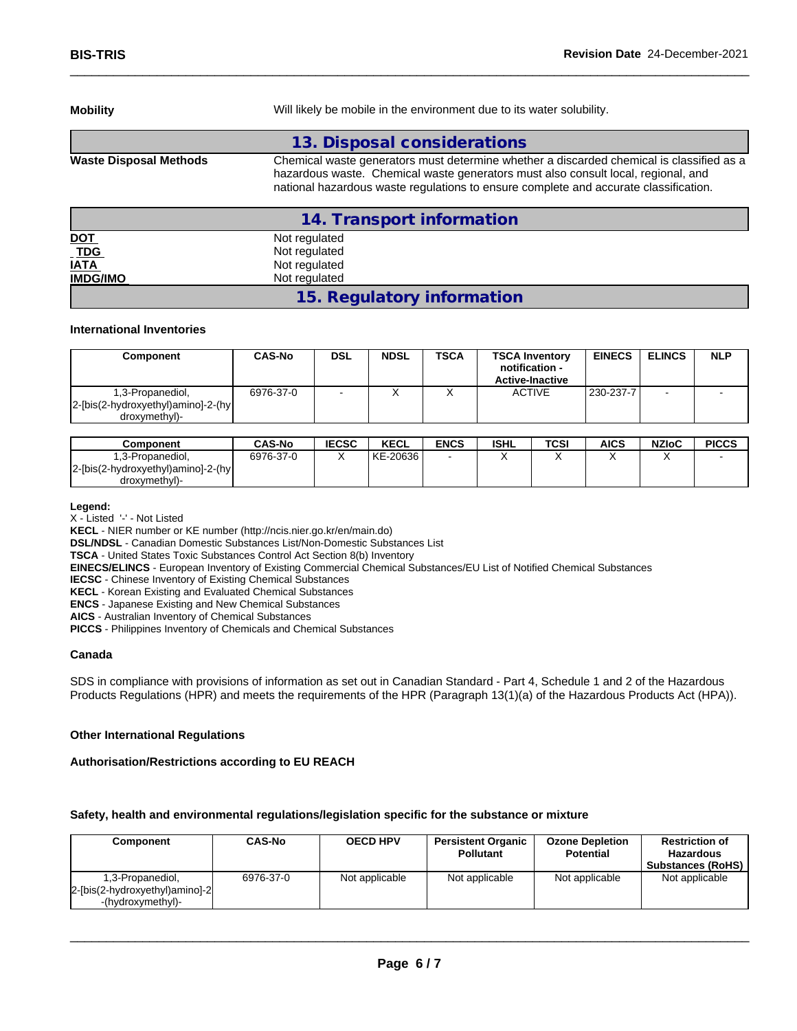| <b>Mobility</b>               | Will likely be mobile in the environment due to its water solubility.                                                                                                                                                                                                 |  |  |  |  |  |
|-------------------------------|-----------------------------------------------------------------------------------------------------------------------------------------------------------------------------------------------------------------------------------------------------------------------|--|--|--|--|--|
|                               | 13. Disposal considerations                                                                                                                                                                                                                                           |  |  |  |  |  |
| <b>Waste Disposal Methods</b> | Chemical waste generators must determine whether a discarded chemical is classified as a<br>hazardous waste. Chemical waste generators must also consult local, regional, and<br>national hazardous waste regulations to ensure complete and accurate classification. |  |  |  |  |  |
|                               | 14. Transport information                                                                                                                                                                                                                                             |  |  |  |  |  |
| <u>DOT</u>                    | Not regulated                                                                                                                                                                                                                                                         |  |  |  |  |  |
| $\_TDG$                       | Not regulated                                                                                                                                                                                                                                                         |  |  |  |  |  |
| <b>IATA</b>                   | Not regulated                                                                                                                                                                                                                                                         |  |  |  |  |  |
| <b>IMDG/IMO</b>               | Not regulated                                                                                                                                                                                                                                                         |  |  |  |  |  |

**15. Regulatory information**

#### **International Inventories**

| Component                                                               | <b>CAS-No</b> | DSL                      | <b>NDSL</b> | <b>TSCA</b> | <b>TSCA Inventory</b><br>notification -<br><b>Active-Inactive</b> | <b>EINECS</b> | <b>ELINCS</b>            | <b>NLP</b> |
|-------------------------------------------------------------------------|---------------|--------------------------|-------------|-------------|-------------------------------------------------------------------|---------------|--------------------------|------------|
| 1,3-Propanediol,<br>2-[bis(2-hydroxyethyl)amino]-2-(hy<br>droxymethyl)- | 6976-37-0     | $\overline{\phantom{a}}$ |             |             | <b>ACTIVE</b>                                                     | 230-237-7     | $\overline{\phantom{a}}$ |            |

| Component                          | <b>CAS-No</b> | <b>IECSC</b> | <b>KECL</b> | <b>ENCS</b> | <b>ISHL</b> | TCSI | AICS | <b>NZIoC</b> | <b>PICCS</b> |
|------------------------------------|---------------|--------------|-------------|-------------|-------------|------|------|--------------|--------------|
| i.3-Propanediol.                   | 6976-37-0     |              | KE-20636    |             |             |      |      |              |              |
| 2-[bis(2-hydroxyethyl)amino]-2-(hy |               |              |             |             |             |      |      |              |              |
| droxymethyl)-                      |               |              |             |             |             |      |      |              |              |

#### **Legend:**

X - Listed '-' - Not Listed

**KECL** - NIER number or KE number (http://ncis.nier.go.kr/en/main.do)

**DSL/NDSL** - Canadian Domestic Substances List/Non-Domestic Substances List

**TSCA** - United States Toxic Substances Control Act Section 8(b) Inventory

**EINECS/ELINCS** - European Inventory of Existing Commercial Chemical Substances/EU List of Notified Chemical Substances

**IECSC** - Chinese Inventory of Existing Chemical Substances

**KECL** - Korean Existing and Evaluated Chemical Substances

**ENCS** - Japanese Existing and New Chemical Substances

**AICS** - Australian Inventory of Chemical Substances

**PICCS** - Philippines Inventory of Chemicals and Chemical Substances

#### **Canada**

SDS in compliance with provisions of information as set out in Canadian Standard - Part 4, Schedule 1 and 2 of the Hazardous Products Regulations (HPR) and meets the requirements of the HPR (Paragraph 13(1)(a) of the Hazardous Products Act (HPA)).

#### **Other International Regulations**

#### **Authorisation/Restrictions according to EU REACH**

#### **Safety, health and environmental regulations/legislation specific for the substance or mixture**

| Component                                                               | <b>CAS-No</b> | <b>OECD HPV</b> | <b>Persistent Organic</b><br><b>Pollutant</b> | <b>Ozone Depletion</b><br><b>Potential</b> | <b>Restriction of</b><br><b>Hazardous</b><br><b>Substances (RoHS)</b> |
|-------------------------------------------------------------------------|---------------|-----------------|-----------------------------------------------|--------------------------------------------|-----------------------------------------------------------------------|
| 1,3-Propanediol,<br>2-[bis(2-hydroxyethyl)amino]-2<br>-(hydroxymethyl)- | 6976-37-0     | Not applicable  | Not applicable                                | Not applicable                             | Not applicable                                                        |